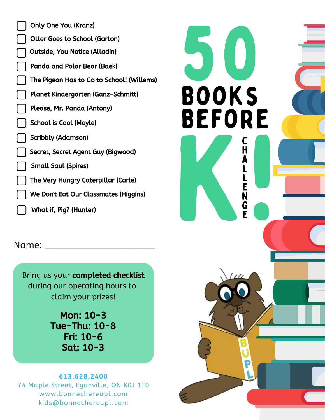| <b>Only One You (Kranz)</b>               |
|-------------------------------------------|
| <b>Otter Goes to School (Garton)</b>      |
| <b>Outside, You Notice (Alladin)</b>      |
| Panda and Polar Bear (Baek)               |
| The Pigeon Has to Go to School! (Willems) |
| Planet Kindergarten (Ganz-Schmitt)        |
| Please, Mr. Panda (Antony)                |
| School is Cool (Moyle)                    |
| Scribbly (Adamson)                        |
| Secret, Secret Agent Guy (Bigwood)        |
| <b>Small Saul (Spires)</b>                |
| The Very Hungry Caterpillar (Carle)       |
| We Don't Eat Our Classmates (Higgins)     |
| What if, Pig? (Hunter)                    |

Name:

Bring us your completed checklist during our operating hours to claim your prizes!

> Mon: 10-3 Tue-Thu: 10-8 Fri: 10-6 Sat: 10-3

## 613.628.2400 74 Maple Street, Eganville, ON K0J 1T0 www.bonnechereupl.com kids@bonnechereupl.com